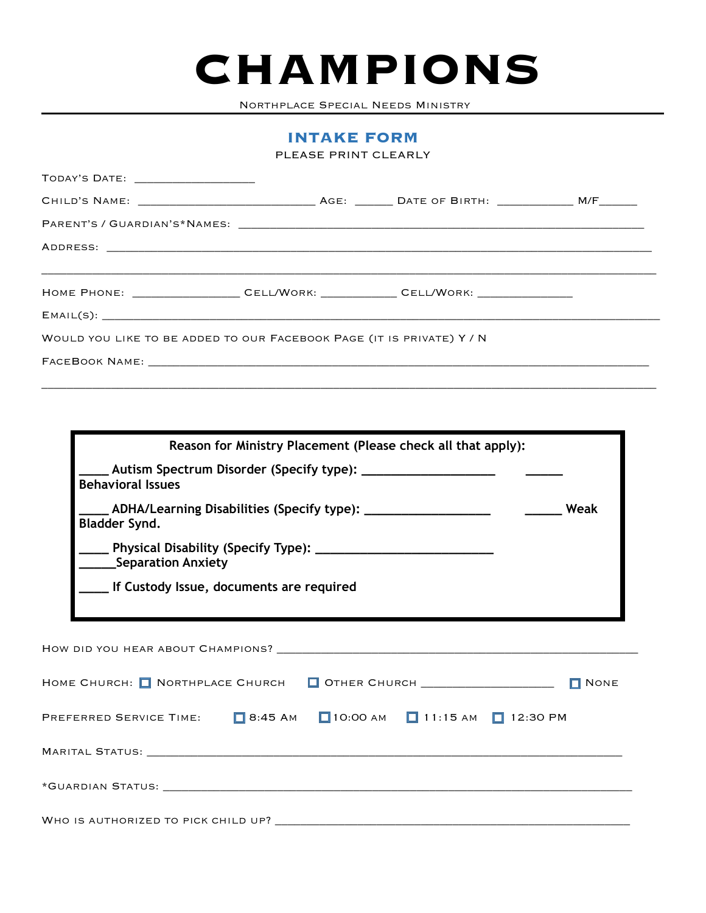## **CHAMPIONS**

Northplace Special Needs Ministry

## **INTAKE FORM**

PLEASE PRINT CLEARLY

| TODAY'S DATE: _____________________                                               |  |  |  |  |  |  |  |  |  |  |
|-----------------------------------------------------------------------------------|--|--|--|--|--|--|--|--|--|--|
|                                                                                   |  |  |  |  |  |  |  |  |  |  |
|                                                                                   |  |  |  |  |  |  |  |  |  |  |
|                                                                                   |  |  |  |  |  |  |  |  |  |  |
| HOME PHONE: ____________________CELL/WORK: _____________CELL/WORK: ______________ |  |  |  |  |  |  |  |  |  |  |
|                                                                                   |  |  |  |  |  |  |  |  |  |  |
| WOULD YOU LIKE TO BE ADDED TO OUR FACEBOOK PAGE (IT IS PRIVATE) Y / N             |  |  |  |  |  |  |  |  |  |  |
|                                                                                   |  |  |  |  |  |  |  |  |  |  |
|                                                                                   |  |  |  |  |  |  |  |  |  |  |

| Reason for Ministry Placement (Please check all that apply):                                              |  |  |  |  |  |  |  |
|-----------------------------------------------------------------------------------------------------------|--|--|--|--|--|--|--|
| Autism Spectrum Disorder (Specify type): ____________________<br><b>Behavioral Issues</b>                 |  |  |  |  |  |  |  |
| _____ Weak<br>__ ADHA/Learning Disabilities (Specify type): _____________________<br><b>Bladder Synd.</b> |  |  |  |  |  |  |  |
| ________Separation Anxiety                                                                                |  |  |  |  |  |  |  |
| ___ If Custody Issue, documents are required                                                              |  |  |  |  |  |  |  |
|                                                                                                           |  |  |  |  |  |  |  |
|                                                                                                           |  |  |  |  |  |  |  |
| HOME CHURCH: NORTHPLACE CHURCH   OTHER CHURCH ______________________<br>$\blacksquare$ NONE               |  |  |  |  |  |  |  |
| PREFERRED SERVICE TIME: $\Box$ 8:45 AM $\Box$ 10:00 AM $\Box$ 11:15 AM $\Box$ 12:30 PM                    |  |  |  |  |  |  |  |
|                                                                                                           |  |  |  |  |  |  |  |
|                                                                                                           |  |  |  |  |  |  |  |
| WHO IS AUTHORIZED TO PICK CHILD UP?                                                                       |  |  |  |  |  |  |  |